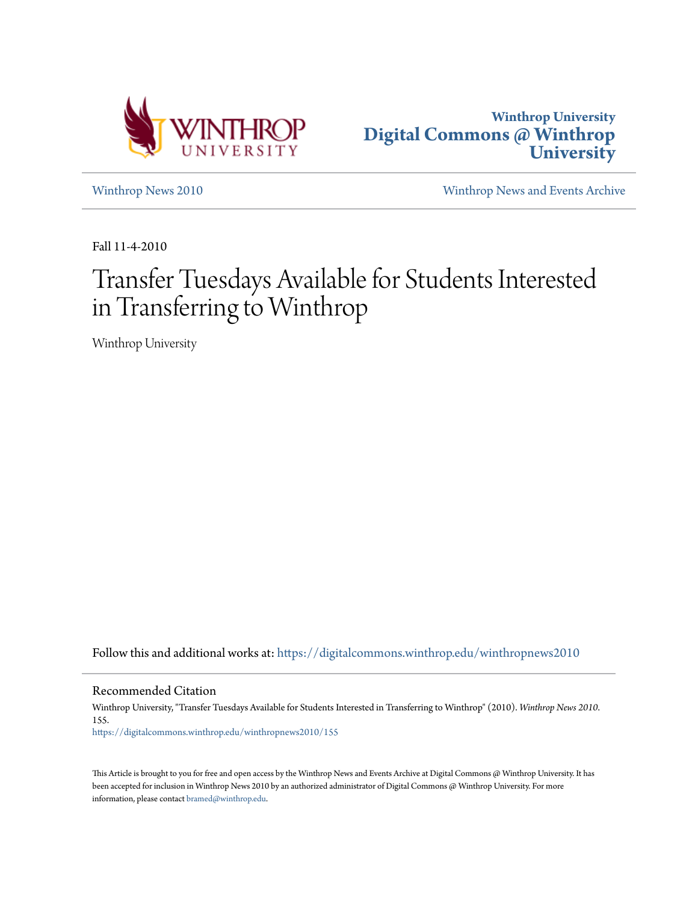



[Winthrop News 2010](https://digitalcommons.winthrop.edu/winthropnews2010?utm_source=digitalcommons.winthrop.edu%2Fwinthropnews2010%2F155&utm_medium=PDF&utm_campaign=PDFCoverPages) [Winthrop News and Events Archive](https://digitalcommons.winthrop.edu/winthropnewsarchives?utm_source=digitalcommons.winthrop.edu%2Fwinthropnews2010%2F155&utm_medium=PDF&utm_campaign=PDFCoverPages)

Fall 11-4-2010

## Transfer Tuesdays Available for Students Interested in Transferring to Winthrop

Winthrop University

Follow this and additional works at: [https://digitalcommons.winthrop.edu/winthropnews2010](https://digitalcommons.winthrop.edu/winthropnews2010?utm_source=digitalcommons.winthrop.edu%2Fwinthropnews2010%2F155&utm_medium=PDF&utm_campaign=PDFCoverPages)

Recommended Citation

Winthrop University, "Transfer Tuesdays Available for Students Interested in Transferring to Winthrop" (2010). *Winthrop News 2010*. 155. [https://digitalcommons.winthrop.edu/winthropnews2010/155](https://digitalcommons.winthrop.edu/winthropnews2010/155?utm_source=digitalcommons.winthrop.edu%2Fwinthropnews2010%2F155&utm_medium=PDF&utm_campaign=PDFCoverPages)

This Article is brought to you for free and open access by the Winthrop News and Events Archive at Digital Commons @ Winthrop University. It has been accepted for inclusion in Winthrop News 2010 by an authorized administrator of Digital Commons @ Winthrop University. For more information, please contact [bramed@winthrop.edu](mailto:bramed@winthrop.edu).